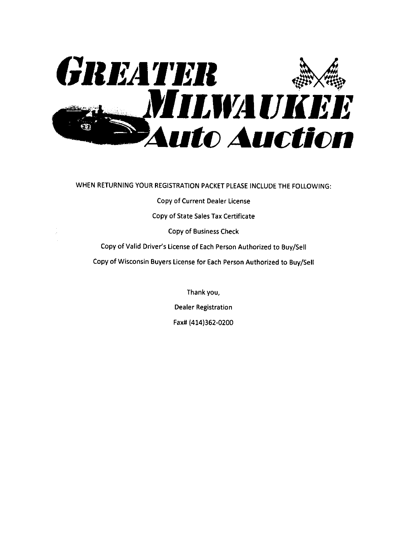

WHEN RETURNING YOUR REGISTRATION PACKET PLEASE INCLUDE THE FOLLOWING:

Copy of Current Dealer License

Copy of State Sales Tax Certificate

**Copy of Business Check** 

Copy of Valid Driver's License of Each Person Authorized to Buy/Sell

Copy of Wisconsin Buyers License for Each Person Authorized to Buy/Sell

Thank you, **Dealer Registration** Fax# (414)362-0200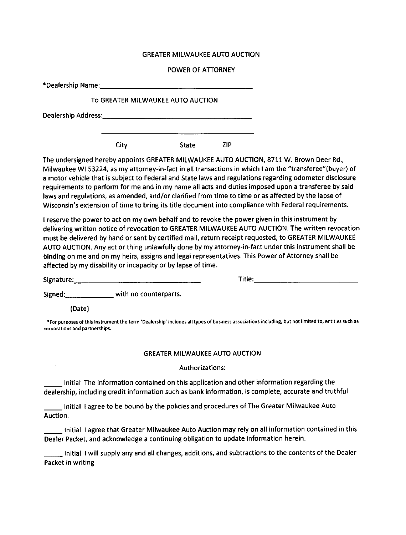#### GREATER MILWAUKEE AUTO AUCTION

#### POWER OF ATTORNEY

|                                | *Dealership Name: Name: Name and Allen and Allen and Allen and Allen and Allen and Allen and Allen and Allen and Allen and Allen and Allen and Allen and Allen and Allen and Allen and Allen and Allen and Allen and Allen and                                                                                                                                                                                                                                                                                                                                                                                                      |                 |                                       |  |
|--------------------------------|-------------------------------------------------------------------------------------------------------------------------------------------------------------------------------------------------------------------------------------------------------------------------------------------------------------------------------------------------------------------------------------------------------------------------------------------------------------------------------------------------------------------------------------------------------------------------------------------------------------------------------------|-----------------|---------------------------------------|--|
|                                | To GREATER MILWAUKEE AUTO AUCTION                                                                                                                                                                                                                                                                                                                                                                                                                                                                                                                                                                                                   |                 |                                       |  |
|                                |                                                                                                                                                                                                                                                                                                                                                                                                                                                                                                                                                                                                                                     |                 |                                       |  |
|                                | City                                                                                                                                                                                                                                                                                                                                                                                                                                                                                                                                                                                                                                | State           | <b>ZIP</b>                            |  |
|                                | The undersigned hereby appoints GREATER MILWAUKEE AUTO AUCTION, 8711 W. Brown Deer Rd.,<br>Milwaukee WI 53224, as my attorney-in-fact in all transactions in which I am the "transferee"(buyer) of<br>a motor vehicle that is subject to Federal and State laws and regulations regarding odometer disclosure<br>requirements to perform for me and in my name all acts and duties imposed upon a transferee by said<br>laws and regulations, as amended, and/or clarified from time to time or as affected by the lapse of<br>Wisconsin's extension of time to bring its title document into compliance with Federal requirements. |                 |                                       |  |
|                                | I reserve the power to act on my own behalf and to revoke the power given in this instrument by<br>delivering written notice of revocation to GREATER MILWAUKEE AUTO AUCTION. The written revocation<br>must be delivered by hand or sent by certified mail, return receipt requested, to GREATER MILWAUKEE<br>AUTO AUCTION. Any act or thing unlawfully done by my attorney-in-fact under this instrument shall be<br>binding on me and on my heirs, assigns and legal representatives. This Power of Attorney shall be<br>affected by my disability or incapacity or by lapse of time.                                            |                 |                                       |  |
|                                |                                                                                                                                                                                                                                                                                                                                                                                                                                                                                                                                                                                                                                     |                 |                                       |  |
|                                | Signed: _________________ with no counterparts.                                                                                                                                                                                                                                                                                                                                                                                                                                                                                                                                                                                     |                 |                                       |  |
| (Date)                         |                                                                                                                                                                                                                                                                                                                                                                                                                                                                                                                                                                                                                                     |                 |                                       |  |
| corporations and partnerships. | *For purposes of this instrument the term 'Dealership' includes all types of business associations including, but not limited to, entities such as                                                                                                                                                                                                                                                                                                                                                                                                                                                                                  |                 |                                       |  |
|                                |                                                                                                                                                                                                                                                                                                                                                                                                                                                                                                                                                                                                                                     |                 | <b>GREATER MILWAUKEE AUTO AUCTION</b> |  |
|                                |                                                                                                                                                                                                                                                                                                                                                                                                                                                                                                                                                                                                                                     | Authorizations: |                                       |  |
|                                | Initial The information contained on this application and other information regarding the<br>dealership, including credit information such as bank information, is complete, accurate and truthful                                                                                                                                                                                                                                                                                                                                                                                                                                  |                 |                                       |  |
| Auction.                       | Initial Lagree to be bound by the policies and procedures of The Greater Milwaukee Auto                                                                                                                                                                                                                                                                                                                                                                                                                                                                                                                                             |                 |                                       |  |

Initial I agree that Greater Milwaukee Auto Auction may rely on all information contained in this Dealer Packet, and acknowledge a continuing obligation to update information herein.

 $\Box$  Initial I will supply any and all changes, additions, and subtractions to the contents of the Dealer Packet in writing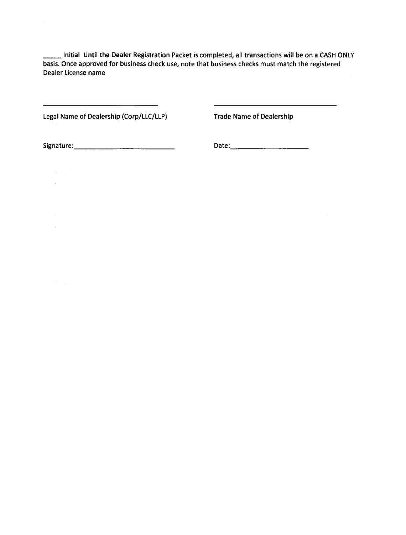Initial Until the Dealer Registration Packet is completed, all transactions will be on a CASH ONLY basis. Once approved for business check use, note that business checks must match the registered Dealer License name  $\hat{\mathcal{A}}$ 

 $\overline{\phantom{a}}$ 

Legal Name of Dealership (Corp/LLC/LLP) Trade Name of Dealership

 $\bar{z}$ 

 $\mathcal{F}^{\text{max}}_{\text{max}}$  $\sim 10^{-11}$ 

> $\mathcal{A}^{\mathcal{A}}$  $\sim$

 $\left\langle \hat{r} \right\rangle_{\rm{max}}$ 

Signature: 2000 Contract Contract Contract Contract Contract Contract Contract Contract Contract Contract Contract Contract Contract Contract Contract Contract Contract Contract Contract Contract Contract Contract Contract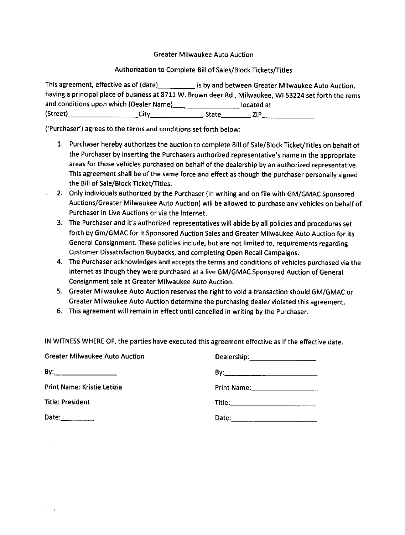Greater Milwaukee Auto Auction

#### Authorization to Complete Bill of Sales/Block Tickets/Titles

This agreement, effective as of (date) is by and between Greater Milwaukee Auto Auction, having a principal place of business at 8711 W. Brown deer Rd., Milwaukee, Wl 53224 set forth the rems and conditions upon which (Dealer Name)\_\_\_\_\_\_\_\_\_\_\_\_\_\_\_\_\_\_\_\_\_\_\_\_located at (Street) State City

('Purchaser') agrees to the terms and conditions set forth below:

- 1. Purchaser hereby authorizes the auction to complete Bill of Sale/Block Ticket/Titles on behalf of the Purchaser by inserting the Purchasers authorized representative's name in the appropriate areas for those vehicles purchased on behalf of the dealership by an authorized representative. This agreement shall be of the same force and effect as though the purchaser personally signed the Bill of Sale/Block Ticket/Titles.
- 2. Only individuals authorized by the Purchaser (in writing and on file with GM/GMAC Sponsored Auctions/Greater Milwaukee Auto Auction) will be allowed to purchase anyvehicles on behalf of Purchaser in Live Auctions or via the Internet.
- 3. The Purchaser and it's authorized representatives will abide by all policies and procedures set forth by Gm/GMAC for it Sponsored Auction Sales and Greater Milwaukee Auto Auction for its General Consignment. These policies include, but are not limited to, requirements regarding Customer Dissatisfaction Euybacks, and completing Open Recall Campaigns.
- 4. The Purchaser acknowledges and accepts the terms and conditions of vehicles purchased via the internet as though they were purchased at a live GM/GMAC Sponsored Auction of General Consignment sale at Greater Milwaukee Auto Auction.
- 5. Greater Milwaukee Auto Auction reserves the right to void a transaction should GM/GMAC or Greater Milwaukee Auto Auction determine the purchasing dealer violated this agreement.
- 6. This agreement wlll remain in effect until cancelled in writing by the purchaser.

lN WITNESS WHERE OF, the parties have executed this agreement effective as if the effective date.

| <b>Greater Milwaukee Auto Auction</b> | Dealership: 2000 |
|---------------------------------------|------------------|
|                                       |                  |
| Print Name: Kristie Letizia           |                  |
| <b>Title: President</b>               |                  |
| Date: $\frac{1}{2}$                   |                  |

 $\hat{\mathcal{I}}$ 

 $1\leq i\leq 2$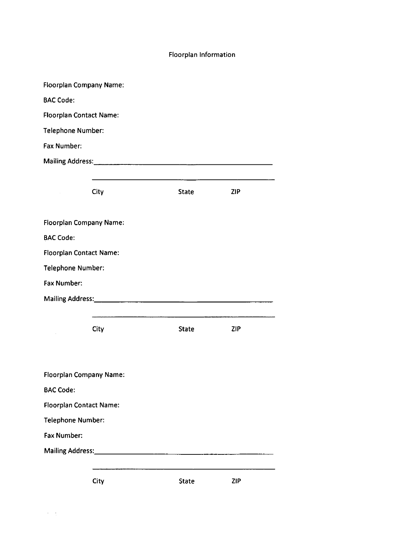#### Floorplan Information

|                          | <b>Floorplan Company Name:</b> |                                                                                                                      |            |  |
|--------------------------|--------------------------------|----------------------------------------------------------------------------------------------------------------------|------------|--|
| <b>BAC Code:</b>         |                                |                                                                                                                      |            |  |
|                          | <b>Floorplan Contact Name:</b> |                                                                                                                      |            |  |
| <b>Telephone Number:</b> |                                |                                                                                                                      |            |  |
| Fax Number:              |                                |                                                                                                                      |            |  |
|                          |                                |                                                                                                                      |            |  |
|                          |                                | <u> 1980 - Johann Barn, amerikan besteman besteman besteman besteman besteman besteman besteman besteman bestema</u> |            |  |
|                          | City                           | <b>State</b>                                                                                                         | <b>ZIP</b> |  |
|                          |                                |                                                                                                                      |            |  |
|                          | <b>Floorplan Company Name:</b> |                                                                                                                      |            |  |
| <b>BAC Code:</b>         |                                |                                                                                                                      |            |  |
|                          | <b>Floorplan Contact Name:</b> |                                                                                                                      |            |  |
| Telephone Number:        |                                |                                                                                                                      |            |  |
| Fax Number:              |                                |                                                                                                                      |            |  |
|                          |                                |                                                                                                                      |            |  |
|                          |                                |                                                                                                                      |            |  |
|                          | <b>City</b>                    | State                                                                                                                | <b>ZIP</b> |  |
|                          |                                |                                                                                                                      |            |  |
|                          |                                |                                                                                                                      |            |  |
|                          | <b>Floorplan Company Name:</b> |                                                                                                                      |            |  |
| <b>BAC Code:</b>         |                                |                                                                                                                      |            |  |
|                          | <b>Floorplan Contact Name:</b> |                                                                                                                      |            |  |
| Telephone Number:        |                                |                                                                                                                      |            |  |
| Fax Number:              |                                |                                                                                                                      |            |  |
|                          |                                |                                                                                                                      |            |  |
|                          |                                |                                                                                                                      |            |  |
|                          | City                           | <b>State</b>                                                                                                         | ZIP        |  |

 $\mathcal{A}=\mathcal{A}^{(1)}$  ,  $\mathcal{A}^{(2)}$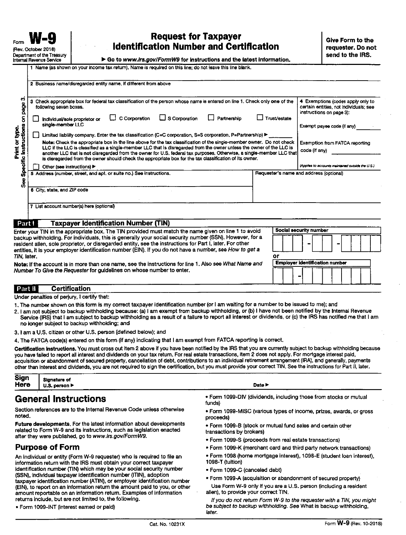## **Request for Taxpayer Identification Number and Certification**

Go to www.irs.gov/FormW9 for instructions and the latest information.

|  |  | Name (as shown on your income tax return). Name is required on this line: do not leave this line blank |  |
|--|--|--------------------------------------------------------------------------------------------------------|--|

| ణ<br>page<br>following seven boxes.                               | 3 Check appropriate box for federal tax classification of the person whose name is entered on line 1. Check only one of the                                                                                                                                                                                                                                                                                                                                                                                                                                                                       |                                    | 4 Exemptions (codes apply only to<br>certain entities, not individuals; see<br>instructions on page 3):     |
|-------------------------------------------------------------------|---------------------------------------------------------------------------------------------------------------------------------------------------------------------------------------------------------------------------------------------------------------------------------------------------------------------------------------------------------------------------------------------------------------------------------------------------------------------------------------------------------------------------------------------------------------------------------------------------|------------------------------------|-------------------------------------------------------------------------------------------------------------|
| 8<br>Individual/sole proprietor or<br>single-member LLC           | S Corporation<br>$\Box$ C Corporation                                                                                                                                                                                                                                                                                                                                                                                                                                                                                                                                                             | $\Box$ Trust/estate<br>Partnership | Exempt payee code (if any)                                                                                  |
| nnt or type.<br>Instructions<br>tic<br>Other (see instructions) ▶ | Limited liability company. Enter the tax classification (C=C corporation, S=S corporation, P=Partnership) ▶<br>Note: Check the appropriate box in the line above for the tax classification of the single-member owner. Do not check<br>LLC if the LLC is classified as a single-member LLC that is disregarded from the owner unless the owner of the LLC is<br>another LLC that is not disregarded from the owner for U.S. federal tax purposes. Otherwise, a single-member LLC that<br>is disregarded from the owner should check the appropriate box for the tax classification of its owner. |                                    | <b>Exemption from FATCA reporting</b><br>code (if any)<br>(Applies to accounts maintained outside the U.S.) |
| န                                                                 | 5 Address (number, street, and apt. or suite no.) See instructions.                                                                                                                                                                                                                                                                                                                                                                                                                                                                                                                               |                                    | Requester's name and address (optional)                                                                     |
| 6 City, state, and ZIP code                                       |                                                                                                                                                                                                                                                                                                                                                                                                                                                                                                                                                                                                   |                                    |                                                                                                             |
| 7 List account number(s) here (optional)                          |                                                                                                                                                                                                                                                                                                                                                                                                                                                                                                                                                                                                   |                                    |                                                                                                             |

| .                                                                                                                                                                                                                                                                                                                                 |                                       |
|-----------------------------------------------------------------------------------------------------------------------------------------------------------------------------------------------------------------------------------------------------------------------------------------------------------------------------------|---------------------------------------|
| Enter your TIN in the appropriate box. The TIN provided must match the name given on line 1 to avoid                                                                                                                                                                                                                              | Social security number                |
| backup withholding. For individuals, this is generally your social security number (SSN). However, for a<br>resident allen, sole proprietor, or disregarded entity, see the instructions for Part I, later. For other<br>entities, it is your employer identification number (EIN). If you do not have a number, see How to get a | -<br>-                                |
| TIN, later                                                                                                                                                                                                                                                                                                                        |                                       |
| Note: If the account is in more than one name, see the instructions for line 1. Also see What Name and                                                                                                                                                                                                                            | <b>Employer identification number</b> |
| Number To Give the Requester for guidelines on whose number to enter.                                                                                                                                                                                                                                                             |                                       |

#### **Certification** Part II

Under penalties of perjury, I certify that:

- 1. The number shown on this form is my correct taxpayer identification number (or I am waiting for a number to be issued to me); and
- 2. I am not subject to backup withholding because: (a) I am exempt from backup withholding, or (b) I have not been notified by the Internal Revenue Service (IRS) that I am subject to backup withholding as a result of a failure to report all interest or dividends, or (c) the IRS has notified me that I am no longer subject to backup withholding; and
- 3. I am a U.S. citizen or other U.S. person (defined below); and
- 4. The FATCA code(s) entered on this form (if any) indicating that I am exempt from FATCA reporting is correct.

Certification instructions. You must cross out item 2 above if you have been notified by the IRS that you are currently subject to backup withholding because you have failed to report all interest and dividends on your tax return. For real estate transactions, item 2 does not apply. For mortgage interest paid, acquisition or abandonment of secured property, cancellation of debt, contributions to an individual retirement arrangement (IRA), and generally, payments other than interest and dividends, you are not required to sign the certification, but you must provide your correct TIN. See the instructions for Part II, later.

| Sign<br>Here | Signature of<br>. person ▶<br>U.S. | Date > |
|--------------|------------------------------------|--------|
|              |                                    | ----   |

## **General Instructions**

Section references are to the Internal Revenue Code unless otherwise noted.

Future developments. For the latest information about developments related to Form W-9 and its instructions, such as legislation enacted after they were published, go to www.irs.gov/FormW9.

#### **Purpose of Form**

An individual or entity (Form W-9 requester) who is required to file an information return with the IRS must obtain your correct taxpayer identification number (TIN) which may be your social security number (SSN), individual taxpayer identification number (ITIN), adoption taxpayer identification number (ATIN), or employer identification number (EIN), to report on an information return the amount paid to you, or other amount reportable on an information return. Examples of information returns include, but are not limited to, the following.

. Form 1099-INT (interest earned or pald)

- . Form 1099-DIV (dividends, including those from stocks or mutual funds)
- . Form 1099-MISC (various types of income, prizes, awards, or gross proceeds)
- . Form 1099-B (stock or mutual fund sales and certain other transactions by brokers)
- Form 1099-S (proceeds from real estate transactions)
- Form 1099-K (merchant card and third party network transactions)
- . Form 1098 (home mortgage interest), 1098-E (student loan interest), 1098-T (tuition)
- · Form 1099-C (canceled debt)
- · Form 1099-A (acquisition or abandonment of secured property) Use Form W-9 only if you are a U.S. person (including a resident alien), to provide your correct TIN.

If you do not return Form W-9 to the requester with a TIN, you might be subject to backup withholding. See What is backup withholding, later.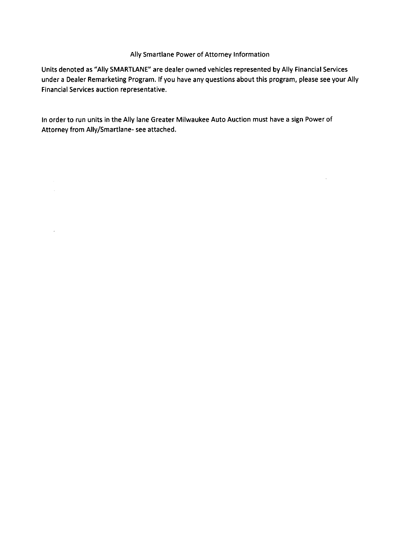#### Ally Smartlane Power of Attorney Information

Units denoted as "Ally SMARTLANE" are dealer owned vehicles represented by Ally Financial Services under a Dealer Remarketing Program. If you have any questions about this program, please see your Ally Financial Services auction representative.

 $\mathcal{A}$ 

In order to run units in the Ally lane Greater Milwaukee Auto Auction must have a sign Power of Attorney from Ally/Smartlane- see attached.

 $\label{eq:2} \frac{1}{\sqrt{2}}\sum_{i=1}^n\frac{1}{\sqrt{2}}\sum_{i=1}^n\frac{1}{\sqrt{2}}\sum_{i=1}^n\frac{1}{\sqrt{2}}\sum_{i=1}^n\frac{1}{\sqrt{2}}\sum_{i=1}^n\frac{1}{\sqrt{2}}\sum_{i=1}^n\frac{1}{\sqrt{2}}\sum_{i=1}^n\frac{1}{\sqrt{2}}\sum_{i=1}^n\frac{1}{\sqrt{2}}\sum_{i=1}^n\frac{1}{\sqrt{2}}\sum_{i=1}^n\frac{1}{\sqrt{2}}\sum_{i=1}^n\frac{1$ 

 $\sim 10$ 

 $\bar{\mathcal{A}}$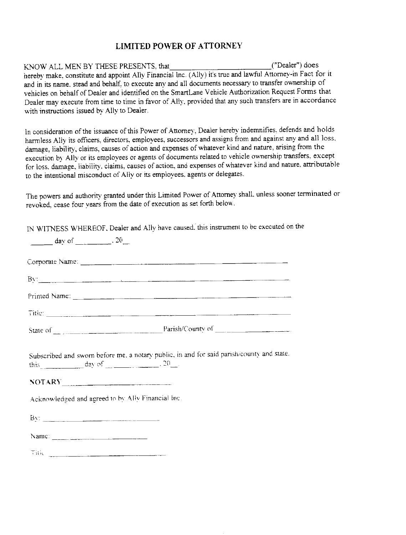#### **LIMITED POWER OF ATTORNEY**

("Dealer") does KNOW ALL MEN BY THESE PRESENTS. that hereby make, constitute and appoint Ally Financial Inc. (Ally) it's true and lawful Attorney-in Fact for it and in its name, stead and behalf, to execute any and all documents necessary to transfer ownership of vehicles on behalf of Dealer and identified on the SmartLane Vehicle Authorization Request Forms that Dealer may execute from time to time in favor of Ally, provided that any such transfers are in accordance with instructions issued by Ally to Dealer.

In consideration of the issuance of this Power of Attorney, Dealer hereby indemnifies, defends and holds harmless Ally its officers, directors, employees, successors and assigns from and against any and all loss. damage, liability, claims, causes of action and expenses of whatever kind and nature, arising from the execution by Ally or its employees or agents of documents related to vehicle ownership transfers, except for loss, damage, liability, claims, causes of action, and expenses of whatever kind and nature, attributable to the intentional misconduct of Ally or its employees, agents or delegates.

The powers and authority granted under this Limited Power of Attorney shall, unless sooner terminated or revoked, cease four years from the date of execution as set forth below.

IN WITNESS WHEREOF, Dealer and Ally have caused, this instrument to be executed on the

| Subscribed and sworn before me, a notary public, in and for said parish/county and state.<br>this day of $\_\_\_\_\_\_\$ . 20 $\_\_\_\$ |
|-----------------------------------------------------------------------------------------------------------------------------------------|
| Acknowledged and agreed to by Ally Financial Inc.                                                                                       |
|                                                                                                                                         |
|                                                                                                                                         |
|                                                                                                                                         |
|                                                                                                                                         |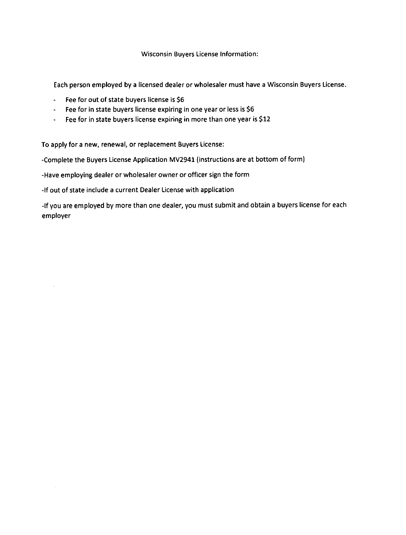#### Wisconsin Buvers License Information:

Each person employed by a licensed dealer or wholesaler must have a Wisconsin Buyers License.

- Fee for out of state buyers license is <sup>56</sup>
- Fee for in state buyers license expiring in one year or less is <sup>56</sup>
- Fee for in state buyers license expiring in more than one year is <sup>512</sup>

To apply for a new, renewal, or replacement Buyers License:

-Complete the Buyers License Application MV2941 (instructions are at bottom of form)

-Have employing dealer or wholesaler owner or officer sign the form

-lf out of state include a current Dealer License with application

-lf you are employed by more than one dealer, you must submit and obtain a buyers license for each employer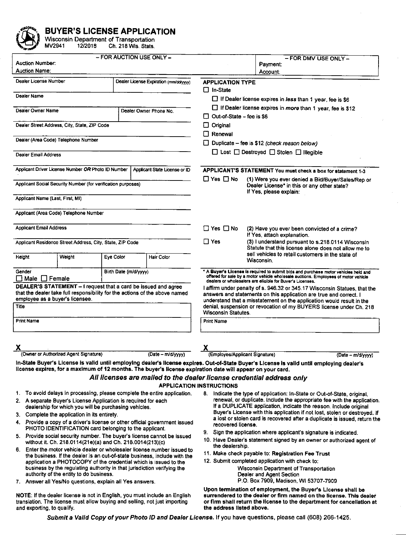

**BUYER'S LICENSE APPLICATION**<br>Wisconsin Department of Transportation<br>MV2941 12/2018 Ch. 218 Wis. Stats.

| <b>Auction Number:</b><br><b>Auction Name:</b>             |                                                                                                                                                                                                                                                                                                                                                                                                      | - FOR AUCTION USE ONLY - |                                                                                                                                                                                                                                                                                                                                                                                                                                                                                                                                             |                                                                                                                                       | - FOR DMV USE ONLY -<br>Payment:<br>Account:                                                                                                                                                                                                                                                                                                                                                                                                                                                                                                                                                                                                                                                                                                               |  |  |  |
|------------------------------------------------------------|------------------------------------------------------------------------------------------------------------------------------------------------------------------------------------------------------------------------------------------------------------------------------------------------------------------------------------------------------------------------------------------------------|--------------------------|---------------------------------------------------------------------------------------------------------------------------------------------------------------------------------------------------------------------------------------------------------------------------------------------------------------------------------------------------------------------------------------------------------------------------------------------------------------------------------------------------------------------------------------------|---------------------------------------------------------------------------------------------------------------------------------------|------------------------------------------------------------------------------------------------------------------------------------------------------------------------------------------------------------------------------------------------------------------------------------------------------------------------------------------------------------------------------------------------------------------------------------------------------------------------------------------------------------------------------------------------------------------------------------------------------------------------------------------------------------------------------------------------------------------------------------------------------------|--|--|--|
| Dealer License Number                                      |                                                                                                                                                                                                                                                                                                                                                                                                      |                          | Dealer License Expiration (mm/dd/yyyy)                                                                                                                                                                                                                                                                                                                                                                                                                                                                                                      | <b>APPLICATION TYPE</b><br>$\Box$ In-State                                                                                            |                                                                                                                                                                                                                                                                                                                                                                                                                                                                                                                                                                                                                                                                                                                                                            |  |  |  |
| Dealer Name<br>Dealer Owner Name<br>Dealer Owner Phone No. |                                                                                                                                                                                                                                                                                                                                                                                                      |                          |                                                                                                                                                                                                                                                                                                                                                                                                                                                                                                                                             | $\Box$ If Dealer license expires in less than 1 year, fee is \$6<br>$\Box$ If Dealer license expires in more than 1 year, fee is \$12 |                                                                                                                                                                                                                                                                                                                                                                                                                                                                                                                                                                                                                                                                                                                                                            |  |  |  |
| Dealer Street Address, City, State, ZIP Code               |                                                                                                                                                                                                                                                                                                                                                                                                      |                          |                                                                                                                                                                                                                                                                                                                                                                                                                                                                                                                                             | $\Box$ Out-of-State – fee is \$6<br>$\Box$ Original                                                                                   |                                                                                                                                                                                                                                                                                                                                                                                                                                                                                                                                                                                                                                                                                                                                                            |  |  |  |
|                                                            | Dealer (Area Code) Telephone Number                                                                                                                                                                                                                                                                                                                                                                  |                          |                                                                                                                                                                                                                                                                                                                                                                                                                                                                                                                                             | $\Box$ Renewal                                                                                                                        |                                                                                                                                                                                                                                                                                                                                                                                                                                                                                                                                                                                                                                                                                                                                                            |  |  |  |
| Dealer Email Address                                       |                                                                                                                                                                                                                                                                                                                                                                                                      |                          |                                                                                                                                                                                                                                                                                                                                                                                                                                                                                                                                             |                                                                                                                                       | $\Box$ Duplicate – fee is \$12 (check reason below)<br>$\Box$ Lost $\Box$ Destroyed $\Box$ Stolen $\Box$ Illegible                                                                                                                                                                                                                                                                                                                                                                                                                                                                                                                                                                                                                                         |  |  |  |
|                                                            |                                                                                                                                                                                                                                                                                                                                                                                                      |                          |                                                                                                                                                                                                                                                                                                                                                                                                                                                                                                                                             |                                                                                                                                       |                                                                                                                                                                                                                                                                                                                                                                                                                                                                                                                                                                                                                                                                                                                                                            |  |  |  |
|                                                            | Applicant Driver License Number OR Photo ID Number                                                                                                                                                                                                                                                                                                                                                   |                          | Applicant State License or ID                                                                                                                                                                                                                                                                                                                                                                                                                                                                                                               | $\Box$ Yes $\Box$ No                                                                                                                  | APPLICANT'S STATEMENT You must check a box for statement 1-3<br>(1) Were you ever denied a Bid/Buyer/Sales/Rep or                                                                                                                                                                                                                                                                                                                                                                                                                                                                                                                                                                                                                                          |  |  |  |
|                                                            | Applicant Social Security Number (for verification purposes)                                                                                                                                                                                                                                                                                                                                         |                          |                                                                                                                                                                                                                                                                                                                                                                                                                                                                                                                                             |                                                                                                                                       | Dealer License* in this or any other state?<br>If Yes, please explain:                                                                                                                                                                                                                                                                                                                                                                                                                                                                                                                                                                                                                                                                                     |  |  |  |
| Applicant Name (Last, First, MI)                           |                                                                                                                                                                                                                                                                                                                                                                                                      |                          |                                                                                                                                                                                                                                                                                                                                                                                                                                                                                                                                             |                                                                                                                                       |                                                                                                                                                                                                                                                                                                                                                                                                                                                                                                                                                                                                                                                                                                                                                            |  |  |  |
|                                                            | Applicant (Area Code) Telephone Number                                                                                                                                                                                                                                                                                                                                                               |                          |                                                                                                                                                                                                                                                                                                                                                                                                                                                                                                                                             |                                                                                                                                       |                                                                                                                                                                                                                                                                                                                                                                                                                                                                                                                                                                                                                                                                                                                                                            |  |  |  |
| Applicant Email Address                                    |                                                                                                                                                                                                                                                                                                                                                                                                      |                          |                                                                                                                                                                                                                                                                                                                                                                                                                                                                                                                                             | $\Box$ Yes $\Box$ No                                                                                                                  | (2) Have you ever been convicted of a crime?<br>If Yes, attach explanation.                                                                                                                                                                                                                                                                                                                                                                                                                                                                                                                                                                                                                                                                                |  |  |  |
|                                                            | Applicant Residence Street Address, City, State, ZIP Code                                                                                                                                                                                                                                                                                                                                            |                          |                                                                                                                                                                                                                                                                                                                                                                                                                                                                                                                                             | $\Box$ Yes                                                                                                                            | (3) I understand pursuant to s.218.0114 Wisconsin<br>Statute that this license alone does not allow me to<br>sell vehicles to retail customers in the state of                                                                                                                                                                                                                                                                                                                                                                                                                                                                                                                                                                                             |  |  |  |
| <b>Height</b>                                              | Weight                                                                                                                                                                                                                                                                                                                                                                                               | Eye Color                | Hair Color                                                                                                                                                                                                                                                                                                                                                                                                                                                                                                                                  |                                                                                                                                       | Wisconsin.                                                                                                                                                                                                                                                                                                                                                                                                                                                                                                                                                                                                                                                                                                                                                 |  |  |  |
| Gender<br>$\Box$ Male $\Box$ Female                        |                                                                                                                                                                                                                                                                                                                                                                                                      | Birth Date (m/d/yyyy)    |                                                                                                                                                                                                                                                                                                                                                                                                                                                                                                                                             |                                                                                                                                       | * A Buyer's License is required to submit bids and purchase motor vehicles held and<br>offered for sale by a motor vehicle wholesale auctions. Employees of motor vehicle<br>dealers or wholesalers are eligible for Buyer's Licenses.                                                                                                                                                                                                                                                                                                                                                                                                                                                                                                                     |  |  |  |
| employee as a buyer's licensee.<br>Title                   | DEALER'S STATEMENT - I request that a card be issued and agree                                                                                                                                                                                                                                                                                                                                       |                          | that the dealer take full responsibility for the actions of the above named                                                                                                                                                                                                                                                                                                                                                                                                                                                                 | Wisconsin Statutes.                                                                                                                   | I affirm under penalty of s. 946.32 or 345.17 Wisconsin Statues, that the<br>answers and statements on this application are true and correct. I<br>understand that a misstatement on the application would result in the<br>denial, suspension or revocation of my BUYERS license under Ch. 218                                                                                                                                                                                                                                                                                                                                                                                                                                                            |  |  |  |
| <b>Print Name</b>                                          |                                                                                                                                                                                                                                                                                                                                                                                                      |                          |                                                                                                                                                                                                                                                                                                                                                                                                                                                                                                                                             | <b>Print Name</b>                                                                                                                     |                                                                                                                                                                                                                                                                                                                                                                                                                                                                                                                                                                                                                                                                                                                                                            |  |  |  |
| х                                                          | (Owner or Authorized Agent Signature)                                                                                                                                                                                                                                                                                                                                                                |                          | (Date - m/d/yyyy)                                                                                                                                                                                                                                                                                                                                                                                                                                                                                                                           |                                                                                                                                       | (Employee/Applicant Signature)<br>(Date - m/d/yyyy)                                                                                                                                                                                                                                                                                                                                                                                                                                                                                                                                                                                                                                                                                                        |  |  |  |
|                                                            |                                                                                                                                                                                                                                                                                                                                                                                                      |                          | license expires, for a maximum of 12 months. The buyer's license expiration date will appear on your card.                                                                                                                                                                                                                                                                                                                                                                                                                                  | <b>APPLICATION INSTRUCTIONS</b>                                                                                                       | in-State Buyer's License is valid until employing dealer's license expires. Out-of-State Buyer's License is valid until employing dealer's<br>All licenses are mailed to the dealer license credential address only                                                                                                                                                                                                                                                                                                                                                                                                                                                                                                                                        |  |  |  |
|                                                            | 2. A separate Buyer's License Application is required for each<br>dealership for which you will be purchasing vehicles.<br>3. Complete the application in its entirety.<br>PHOTO IDENTIFICATION card belonging to the applicant.<br>without it. Ch. 218.0114(21e)(a) and Ch. 218.0014(213)(c)<br>authority of the entity to do business.<br>7. Answer all Yes/No questions, explain all Yes answers. |                          | 1. To avoid delays in processing, please complete the entire application.<br>4. Provide a copy of a driver's license or other official government issued<br>5. Provide social security number. The buyer's license cannot be issued<br>6. Enter the motor vehicle dealer or wholesaler license number issued to<br>the business. If the dealer is an out-of-state business, include with the<br>application a PHOTOCOPY of the credential which is issued to the<br>business by the regulating authority in that jurisdiction verifying the | recovered license.<br>the dealership.                                                                                                 | 8. Indicate the type of application: In-State or Out-of-State, original.<br>renewal, or duplicate. Include the appropriate fee with the application.<br>If a DUPLICATE application, indicate the reason. Include original<br>Buyer's License with this application if not lost, stolen or destroyed. If<br>a lost or stolen card is recovered after a duplicate is issued, return the<br>9. Sign the application where applicant's signature is indicated.<br>10. Have Dealer's statement signed by an owner or authorized agent of<br>11. Make check payable to: Registration Fee Trust<br>12. Submit completed application with check to:<br>Wisconsin Department of Transportation<br>Dealer and Agent Section<br>P.O. Box 7909, Madison, WI 53707-7909 |  |  |  |
| and exporting, to qualify.                                 |                                                                                                                                                                                                                                                                                                                                                                                                      |                          | NOTE: If the dealer license is not in English, you must include an English<br>translation. The license must allow buying and selling, not just importing                                                                                                                                                                                                                                                                                                                                                                                    | the address listed above.                                                                                                             | Upon termination of employment, the Buyer's License shall be<br>surrendered to the dealer or firm named on the license. This dealer<br>or firm shall return the license to the department for cancellation at                                                                                                                                                                                                                                                                                                                                                                                                                                                                                                                                              |  |  |  |
|                                                            |                                                                                                                                                                                                                                                                                                                                                                                                      |                          |                                                                                                                                                                                                                                                                                                                                                                                                                                                                                                                                             |                                                                                                                                       | Submit a Valid Copy of your Photo ID and Dealer License. If you have questions, please call (608) 266-1425.                                                                                                                                                                                                                                                                                                                                                                                                                                                                                                                                                                                                                                                |  |  |  |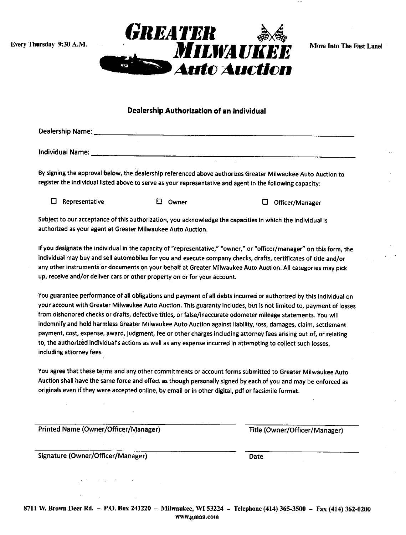Every Thursday 9:30 A.M.



Move Into The Fast Lane!

#### Dealership Authorization of an Indivldual

| Dealership Name: |  |  |
|------------------|--|--|
|                  |  |  |
|                  |  |  |
|                  |  |  |
| Individual Name: |  |  |

By signing the approval below, the dealership referenced above authorizes Greater Milwaukee Auto Auction ro register the individual listed above to serve as your representative and agent in the following capacity:

E Representative E owner El Officer/Manager

Subiect to our acceptance of this authorization, you acknowledge the capacities in which the individuat is authorized as your agent at Greater Milwaukee Auto Auction.

If you designate the individual in the capacity of "representative," "owner," or "officer/manager" on this form, the individual may buy and sell automobiles for you and execute company checks, drafts, certificates of title and/or any other instruments or documents on your behalf at Greater Milwaukee Auto Auction. All categories may pick up, receive and/or deliver cars or other property on or for your account.

You guarantee performance of all obligations and payment of all debts incurred or authorized by this individual on your account with Greater Milwaukee Auto Auction. This guaranty includes, but is not limited to, payment of losses from dlshonored checks or drafts, defective titles, or false/inaccurate odometer mileage statements. You will indemnify and hold harmless Greater Milwaukee Auto Auction against liability, loss, damages, claim, settlement payment, cost, expense, award, judgment, fee or other charges includlng attorney fees arising out of, or relating to, the authorized individual's actions as well as any expense incurred in attempting to collect such losses, including attorney fees.

You agree that these terms and any other commitments or account forms submitted to Greater Milwaukee Auto Auction shall have the same force and effect as though personally signed by each of you and may be enforced as originals even if they were accepted online, by email or in other digital, pdf or facsimile format.

Printed Name (Owner/Officer/Manager) Title (Owner/Officer/Manager)

Signature (Owner/Officer/Manager)

Date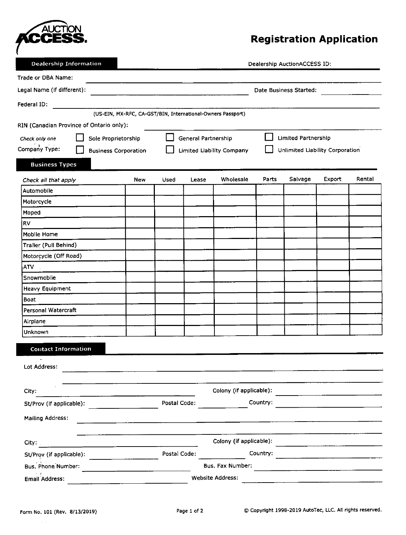

# **Registration Application**

**Dealership Information** 

Dealership AuctionACCESS ID:

| Trade or DBA Name:                       |                                                          |                                                                                                                 |              |                     |                                                             |          |                                 |        |        |
|------------------------------------------|----------------------------------------------------------|-----------------------------------------------------------------------------------------------------------------|--------------|---------------------|-------------------------------------------------------------|----------|---------------------------------|--------|--------|
| Legal Name (if different):               |                                                          |                                                                                                                 |              |                     |                                                             |          | Date Business Started:          |        |        |
| Federal ID:                              |                                                          |                                                                                                                 |              |                     |                                                             |          |                                 |        |        |
|                                          |                                                          |                                                                                                                 |              |                     | (US-EIN, MX-RFC, CA-GST/BIN, International-Owners Passport) |          |                                 |        |        |
| RIN (Canadian Province of Ontario only): |                                                          |                                                                                                                 |              |                     |                                                             |          |                                 |        |        |
| Check only one                           | Sole Proprietorship                                      |                                                                                                                 |              | General Partnership |                                                             |          | <b>Limited Partnership</b>      |        |        |
| Company Type:                            | <b>Business Corporation</b>                              |                                                                                                                 |              |                     | <b>Limited Liability Company</b>                            |          | Unlimited Liability Corporation |        |        |
| <b>Business Types</b>                    |                                                          |                                                                                                                 |              |                     |                                                             |          |                                 |        |        |
| Check all that apply                     |                                                          | <b>New</b>                                                                                                      | Used         | Lease               | Wholesale                                                   | Parts    | Salvage                         | Export | Rental |
| Automobile                               |                                                          |                                                                                                                 |              |                     |                                                             |          |                                 |        |        |
| Motorcycle                               |                                                          |                                                                                                                 |              |                     |                                                             |          |                                 |        |        |
| Moped                                    |                                                          |                                                                                                                 |              |                     |                                                             |          |                                 |        |        |
| <b>RV</b>                                |                                                          |                                                                                                                 |              |                     |                                                             |          |                                 |        |        |
| <b>Mobile Home</b>                       |                                                          |                                                                                                                 |              |                     |                                                             |          |                                 |        |        |
| Trailer (Pull Behind)                    |                                                          |                                                                                                                 |              |                     |                                                             |          |                                 |        |        |
| Motorcycle (Off Road)                    |                                                          |                                                                                                                 |              |                     |                                                             |          |                                 |        |        |
| <b>ATV</b>                               |                                                          |                                                                                                                 |              |                     |                                                             |          |                                 |        |        |
| Snowmobile                               |                                                          |                                                                                                                 |              |                     |                                                             |          |                                 |        |        |
| <b>Heavy Equipment</b>                   |                                                          |                                                                                                                 |              |                     |                                                             |          |                                 |        |        |
| Boat                                     |                                                          |                                                                                                                 |              |                     |                                                             |          |                                 |        |        |
| Personal Watercraft                      |                                                          |                                                                                                                 |              |                     |                                                             |          |                                 |        |        |
| Airplane                                 |                                                          |                                                                                                                 |              |                     |                                                             |          |                                 |        |        |
| Unknown                                  |                                                          |                                                                                                                 |              |                     |                                                             |          |                                 |        |        |
| <b>Contact Information</b>               |                                                          |                                                                                                                 |              |                     |                                                             |          |                                 |        |        |
| $\overline{\phantom{a}}$                 |                                                          |                                                                                                                 |              |                     |                                                             |          |                                 |        |        |
| Lot Address:                             |                                                          |                                                                                                                 |              |                     |                                                             |          |                                 |        |        |
|                                          |                                                          |                                                                                                                 |              |                     |                                                             |          |                                 |        |        |
| City:                                    |                                                          |                                                                                                                 |              |                     | Colony (if applicable):                                     |          |                                 |        |        |
| St/Prov (If applicable):                 |                                                          |                                                                                                                 | Postal Code: |                     |                                                             | Country: |                                 |        |        |
| Mailing Address:                         |                                                          | the contract of the contract of the contract of the contract of the contract of the contract of the contract of |              |                     |                                                             |          |                                 |        |        |
|                                          |                                                          |                                                                                                                 |              |                     |                                                             |          |                                 |        |        |
| City:                                    | <u> 1980 - John Barnett, francuski filozof (</u> † 1920) |                                                                                                                 |              |                     | Colony (if applicable):                                     |          |                                 |        |        |
| St/Prov (if applicable):                 |                                                          |                                                                                                                 | Postal Code: |                     |                                                             | Country: |                                 |        |        |
| Bus. Phone Number:                       |                                                          |                                                                                                                 |              |                     | Bus. Fax Number:                                            |          |                                 |        |        |
| Email Address:                           |                                                          |                                                                                                                 |              |                     | <b>Website Address:</b>                                     |          |                                 |        |        |

 $\sim$   $\sim$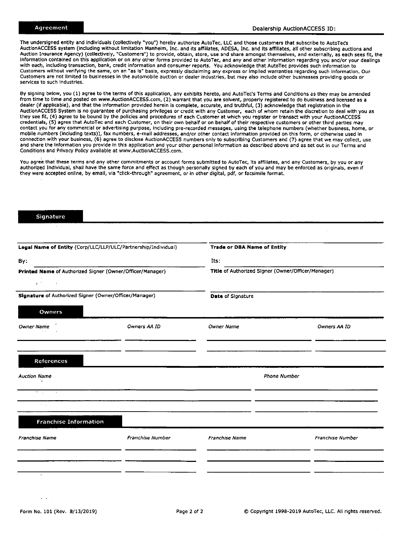The undersigned entity and individuals (collectively "you") hereby authorize AutoTec, LLC and those customers that subscribe to AutoTeds AuctionACCESS system (including without limitation Manheim, Inc. and its affiliates, ADESA, Inc. and its affiliates, all other subscribing auctions and Auction Insurance Agency) (collectively, "Customers") to provide, obtain, store, use and share amongst themselves, and externally, as each sees fit, the information contained on this application or on any other forms provided to AutoTec, and any and other information regarding you and/or your dealings with each, including transaction, bank, credit information and consumer reports. You acknowledge that AutoTec provides such information to Customers without verifying the same, on an "as Is" basis, expressly disclalming any express or implied warrantles regarding such information. Our Customers are not llmlted to buslnesses In the automobile auction or dealer Industrles, but may also include other businesses providing goods or services to such industries.

By signing below, you (1) agree to the terms of this application, any exhibits hereto, and AutoTec's Terms and Conditions as they may be amended from time to time and posted on www.AuctionACCESS.com, (2) warrant that you are solvent, properly registered to do business and licensed as a dealer (if applicable), and that the information provided herein is complete, accurate, and truthful, (3) acknowledge that registration in the AuctionACCESS System is no guarantee of purchasing privileges or credit with any Customer, each of whom retain the discretion to deal with you as<br>they see fit, (4) agree to be bound by the policies and procedures of each credentials, (5) agree that AutoTec and each Customer, on their own behalf or on behalf of their respective customers or other third parties mav contact you for any commercial or advertising purpose, including pre-recorded messages, using the telephone numbers (whether business, home, or mobile numbers (including texts)), fax numbers, e-mail addresses, and/or other contact information provided on this form, or otherwise used in connection with your business, (6) agree to disclose AuctionACCESS numbers only to subscribing Customers and (7) agree that we may collect, use and share the Informatlon you provlde In thls application and your other personal Information as described above and as set out in our Terms and Conditions and Privacy Policy available at www.AuctionACCESS.com,

You agree that these terms and any other commitments or account forms submitted to AutoTec, its affiliates, and any Customers, by you or any authorized Indlvidual, shall have the same force and effect as though personally signed by each of you and may be enforced as originals, even if they were accepted onlihe, by emall, vla "cllck-through" agreement, or In other dlgltal, pdf, or facsimlle format.

| Signature                                               |                                                                |                                    |                                                    |
|---------------------------------------------------------|----------------------------------------------------------------|------------------------------------|----------------------------------------------------|
|                                                         |                                                                |                                    |                                                    |
|                                                         | Legal Name of Entity (Corp/LLC/LLP/ULC/Partnership/Individual) | <b>Trade or DBA Name of Entity</b> |                                                    |
| By:                                                     |                                                                | Its:                               |                                                    |
|                                                         | Printed Name of Authorized Signer (Owner/Officer/Manager)      |                                    | Title of Authorized Signer (Owner/Officer/Manager) |
| $\mathbf{1}^{(1,2,3,3,3)}$ and $\mathbf{1}^{(1,2,3,3)}$ |                                                                |                                    |                                                    |
| Signature of Authorized Signer (Owner/Officer/Manager)  |                                                                | <b>Date of Signature</b>           |                                                    |
| Owners                                                  |                                                                |                                    |                                                    |
| <b>Owner Name</b>                                       | Owners AA ID                                                   | <b>Owner Name</b>                  | Owners AA ID                                       |
|                                                         |                                                                |                                    |                                                    |
| References                                              |                                                                |                                    |                                                    |
| <b>Auction Name</b>                                     |                                                                |                                    | <b>Phone Number</b>                                |
|                                                         |                                                                |                                    |                                                    |
| $\sim 10$                                               |                                                                |                                    |                                                    |
|                                                         |                                                                |                                    |                                                    |
| <b>Franchise Information</b>                            |                                                                |                                    |                                                    |
| <b>Franchise Name</b>                                   | Franchise Number                                               | Franchise Name                     | Franchise Number                                   |
|                                                         |                                                                |                                    |                                                    |
|                                                         |                                                                |                                    |                                                    |
| $\mathbf{L}$                                            |                                                                |                                    |                                                    |

 $\mathbf{1}$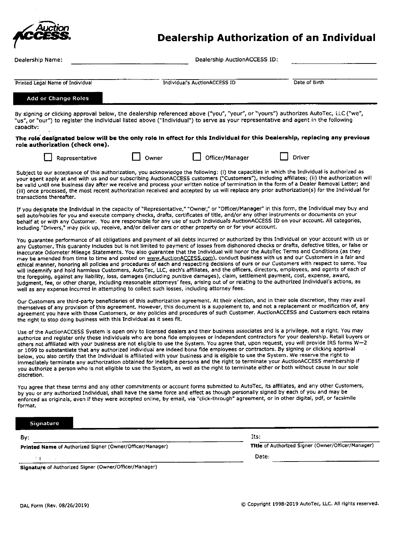

## **Dealership Authorization of an Individual**

| Dealership Name:                                                                                                                                                                                                                                                                                                                                                                                                                                                                                                                                                                                                                                                                                                                                                                                                                                                                                                                                                                                                                                                                                                                                                                                                                                   |       | Dealership AuctionACCESS ID:  |       |                                                    |
|----------------------------------------------------------------------------------------------------------------------------------------------------------------------------------------------------------------------------------------------------------------------------------------------------------------------------------------------------------------------------------------------------------------------------------------------------------------------------------------------------------------------------------------------------------------------------------------------------------------------------------------------------------------------------------------------------------------------------------------------------------------------------------------------------------------------------------------------------------------------------------------------------------------------------------------------------------------------------------------------------------------------------------------------------------------------------------------------------------------------------------------------------------------------------------------------------------------------------------------------------|-------|-------------------------------|-------|----------------------------------------------------|
|                                                                                                                                                                                                                                                                                                                                                                                                                                                                                                                                                                                                                                                                                                                                                                                                                                                                                                                                                                                                                                                                                                                                                                                                                                                    |       |                               |       |                                                    |
| Printed Legal Name of Individual                                                                                                                                                                                                                                                                                                                                                                                                                                                                                                                                                                                                                                                                                                                                                                                                                                                                                                                                                                                                                                                                                                                                                                                                                   |       | Individual's AuctionACCESS ID |       | Date of Birth                                      |
| <b>Add or Change Roles</b>                                                                                                                                                                                                                                                                                                                                                                                                                                                                                                                                                                                                                                                                                                                                                                                                                                                                                                                                                                                                                                                                                                                                                                                                                         |       |                               |       |                                                    |
| By signing or clicking approval below, the dealership referenced above ("you", "your", or "yours") authorizes AutoTec, LLC ("we",<br>"us", or "our") to register the individual listed above ("Individual") to serve as your representative and agent in the following<br>capacity:                                                                                                                                                                                                                                                                                                                                                                                                                                                                                                                                                                                                                                                                                                                                                                                                                                                                                                                                                                |       |                               |       |                                                    |
| The role designated below will be the only role in effect for this Individual for this Dealership, replacing any previous<br>role authorization (check one).                                                                                                                                                                                                                                                                                                                                                                                                                                                                                                                                                                                                                                                                                                                                                                                                                                                                                                                                                                                                                                                                                       |       |                               |       |                                                    |
| Representative                                                                                                                                                                                                                                                                                                                                                                                                                                                                                                                                                                                                                                                                                                                                                                                                                                                                                                                                                                                                                                                                                                                                                                                                                                     | Owner | Officer/Manager               |       | Driver                                             |
| Subject to our acceptance of this authorization, you acknowledge the following: (i) the capacities in which the Individual is authorized as<br>your agent apply at and with us and our subscribing AuctionACCESS customers ("Customers"), including affiliates; (ii) the authorization will<br>be valid until one business day after we receive and process your written notice of termination in the form of a Dealer Removal Letter; and<br>(iii) once processed, the most recent authorization received and accepted by us will replace any prior authorization(s) for the Individual for<br>transactions thereafter.                                                                                                                                                                                                                                                                                                                                                                                                                                                                                                                                                                                                                           |       |                               |       |                                                    |
| If you designate the Individual in the capacity of "Representative," "Owner," or "Officer/Manager" in this form, the Individual may buy and<br>sell automobiles for you and execute company checks, drafts, certificates of title, and/or any other instruments or documents on your<br>behalf at or with any Customer. You are responsible for any use of such Individual's AuctionACCESS ID on your account. All categories,<br>including."Drivers," may pick up, receive, and/or deliver cars or other property on or for your account.                                                                                                                                                                                                                                                                                                                                                                                                                                                                                                                                                                                                                                                                                                         |       |                               |       |                                                    |
| You guarantee performance of all obligations and payment of all debts incurred or authorized by this Individual on your account with us or<br>any Customer. This guaranty includes but is not limited to payment of losses from dishonored checks or drafts, defective titles, or false or<br>inaccurate Odometer Mileage Statements. You also guarantee that the Individual will honor the AutoTec Terms and Conditions (as they<br>may be amended from time to time and posted on www.AuctionACCESS.com), conduct business with us and our Customers in a fair and<br>ethical manner, honoring all policies and procedures of each and respecting decisions of ours or our Customers with respect to same. You<br>will indemnify and hold harmless Customers, AutoTec, LLC, each's affiliates, and the officers, directors, employees, and agents of each of<br>the foregoing, against any liability, loss, damages (including punitive damages), claim, settlement payment, cost, expense, award,<br>judgment, fee, or other charge, including reasonable attorneys' fees, arising out of or relating to the authorized Individual's actions, as<br>well as any expense incurred in attempting to collect such losses, including attorney fees. |       |                               |       |                                                    |
| Our Customers are third-party beneficiaries of this authorization agreement. At their election, and in their sole discretion, they may avail<br>themselves of any provision of this agreement. However, this document is a supplement to, and not a replacement or modification of, any<br>agreement you have with those Customers, or any policies and procedures of such Customer. AuctionACCESS and Customers each retains<br>the right to stop doing business with this Individual as it sees fit.                                                                                                                                                                                                                                                                                                                                                                                                                                                                                                                                                                                                                                                                                                                                             |       |                               |       |                                                    |
| Use of the AuctionACCESS System is open only to licensed dealers and their business associates and is a privilege, not a right. You may<br>authorize and register only those individuals who are bona fide employees or independent contractors for your dealership. Retail buyers or<br>others not affiliated with your business are not eligible to use the System. You agree that, upon request, you will provide IRS forms W-2<br>or 1099 to substantiate that any authorized individual are indeed bona flde employees or contractors. By signing or clicking approval<br>below, you also certify that the Individual is affiliated with your business and is eligible to use the System. We reserve the right to<br>immediately terminate any authorization obtained for ineligible persons and the right to terminate your AuctionACCESS membership if<br>you authorize a person who is not eligible to use the System, as well as the right to terminate either or both without cause in our sole<br>discretion.                                                                                                                                                                                                                           |       |                               |       |                                                    |
| You agree that these terms and any other commitments or account forms submitted to AutoTec, its affiliates, and any other Customers,<br>by you or any authorized Individual, shall have the same force and effect as though personally signed by each of you and may be<br>enforced as originals, even if they were accepted online, by email, via "click-through" agreement, or in other digital, pdf, or facsimile<br>format.                                                                                                                                                                                                                                                                                                                                                                                                                                                                                                                                                                                                                                                                                                                                                                                                                    |       |                               |       |                                                    |
| Signature                                                                                                                                                                                                                                                                                                                                                                                                                                                                                                                                                                                                                                                                                                                                                                                                                                                                                                                                                                                                                                                                                                                                                                                                                                          |       |                               |       |                                                    |
| Bγ:                                                                                                                                                                                                                                                                                                                                                                                                                                                                                                                                                                                                                                                                                                                                                                                                                                                                                                                                                                                                                                                                                                                                                                                                                                                |       | Its:                          |       |                                                    |
| Printed Name of Authorized Signer (Owner/Officer/Manager)                                                                                                                                                                                                                                                                                                                                                                                                                                                                                                                                                                                                                                                                                                                                                                                                                                                                                                                                                                                                                                                                                                                                                                                          |       |                               |       | Title of Authorized Signer (Owner/Officer/Manager) |
|                                                                                                                                                                                                                                                                                                                                                                                                                                                                                                                                                                                                                                                                                                                                                                                                                                                                                                                                                                                                                                                                                                                                                                                                                                                    |       |                               | Date: |                                                    |

Signature of Authorized Signer (Owner/Officer/Manager)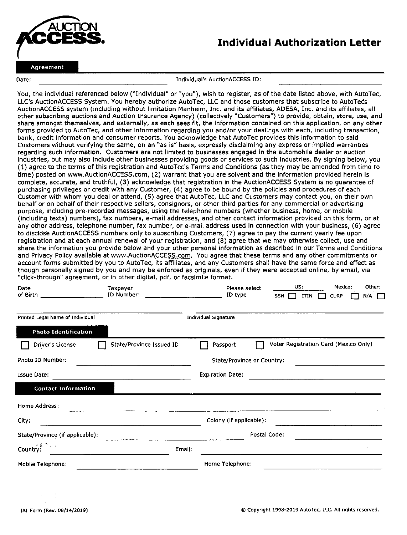

## Individual Authorization Letter

Date:

Individual's AuctionACCESS ID:

You, the individual referenced below ("lndivldual" or "you"), wish to reglster, as of the date listed above, with AutoTec, LLC'S AuctionACCESS System. You hereby authorize AutoTec, LLC and those customers that subscribe to AutoTeds AuctionACCESS system (including without llmitation Manheim, Inc, and its affiliates, ADESA, Inc. and its affillates, all other subscribing auctions and Auction Insurance Agency) (collectively "Customers") to provide, obtain, store, use, and share amongst themselves, and externally, as each sees flt, the Informatlon contained on thls appllcation, on any other forms provided to AutoTec, and other information regarding you and/or your dealings with each, including transaction, bank, credit information and consumer reports. You acknowledge that AutoTec provides this information to said Customers Mthout verifylng the same, on an "as is" basls, expressly disclaiming any express or implied warranties regarding such information. Customers are not limited to businesses engaged in the automobile dealer or auction industries. but may also include other businesses providing goods or services to such industries. By signing below, you ( 1) agree to the terms of this registration and AutoTec's Terms and Conditions (as they may be amended from time to time) posted on www.AuctionAccEss.com, (2) warrant that you are solvent and the information provided herein is complete, accurate, and truthful, (3) acknowledge that registration in the AuctionACCESS System is no guarantee of purchasing privileges or credit with any Customer, (4) agree to be bound by the policies and procedures of each Customer with whom you deal or attend, (5) agree that AutoTec, LLC and Customers may contact you, on their own behalf or on behalf of their respective sellers, consignors, or other third parties for any commercial or advertising purpose, including pre-recorded messages. using the telephone numbers (whether business, home, or mobile (including texts) numbers), fax numbers, e-mail addresses, and other contact information provided on this form, or at any other address, telephone number, fax number, or e-mail address used in connection with your business, (6) agree to disclose AuctionACCESS numbers only to subscribing Customers, (7) agree to pay the current yearly fee upon registration and at each annual renewal of your registration, and (8) agree that we may otherwise collect, use and share the information you provide below and your other personal Information as described in our Terms and Conditions and Privacy Policy available at www.AuctionACCESS.com. You agree that these terms and any other commitments or account forms submitted by you to AutoTec, its affiliates, and any Customers shall have the same force and effect as though personally signed by you and may be enforced as originals, even if they were accepted online, by email, via "click-through" agreement, or in other digital, pdf, or facsimile format.

| Date                             | Taxpayer<br>ID Number:   | Please select<br>ID type   |  | US:<br>$SSN$ $\Box$<br><b>ITIN</b>    |  |  | Mexico:<br><b>CURP</b> |  | Other:<br>$N/A$ $\Box$ |  |
|----------------------------------|--------------------------|----------------------------|--|---------------------------------------|--|--|------------------------|--|------------------------|--|
| Printed Legal Name of Individual |                          | Individual Signature       |  |                                       |  |  |                        |  |                        |  |
| <b>Photo Identification</b>      |                          |                            |  |                                       |  |  |                        |  |                        |  |
| Driver's License                 | State/Province Issued ID | Passport                   |  | Voter Registration Card (Mexico Only) |  |  |                        |  |                        |  |
| Photo ID Number:                 |                          | State/Province or Country: |  |                                       |  |  |                        |  |                        |  |
| <b>Issue Date:</b>               |                          | <b>Expiration Date:</b>    |  |                                       |  |  |                        |  |                        |  |
| <b>Contact Information</b>       |                          |                            |  |                                       |  |  |                        |  |                        |  |
| Home Address:                    |                          |                            |  |                                       |  |  |                        |  |                        |  |
| City:                            |                          | Colony (if applicable):    |  |                                       |  |  |                        |  |                        |  |
| State/Province (if applicable):  |                          |                            |  | Postal Code:                          |  |  |                        |  |                        |  |
| 医最后分泌<br>Country:                | Email:                   |                            |  |                                       |  |  |                        |  |                        |  |
| Mobile Telephone:                |                          | Home Telephone:            |  |                                       |  |  |                        |  |                        |  |